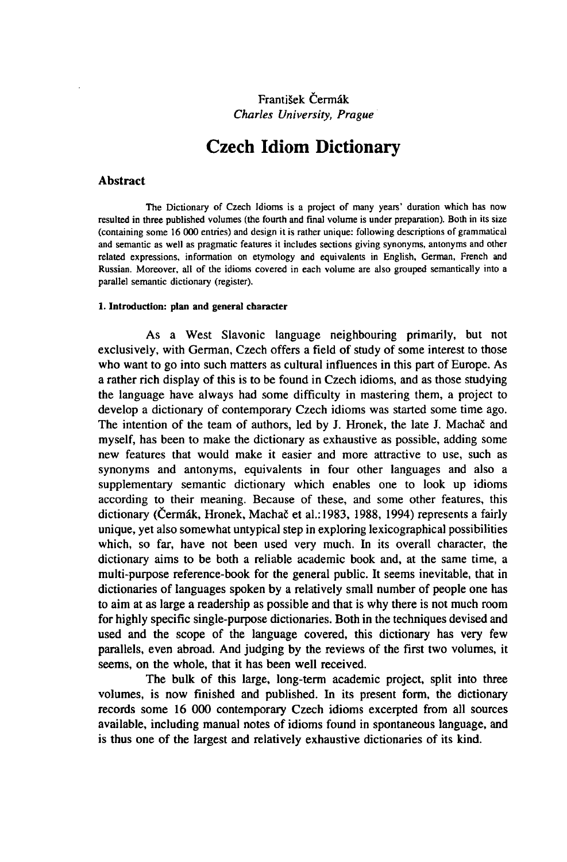## František Čermák *Charles University, Prague*

# Czech Idiom Dictionary

### Abstract

The Dictionary of Czech Idioms is a project of many years' duration which has now resulted in three published volumes (the fourth and final volume is under preparation). Both in its size (containing some 16 000 entries) and design it is rather unique: following descriptions of grammatical and semantic as well as pragmatic features it includes sections giving synonyms, antonyms and other related expressions, information on etymology and equivalents in English, German, French and Russian. Moreover, all of the idioms covered in each volume are also grouped semantically into a parallel semantic dictionary (register).

#### **1. Introduction: plan and general character**

As a West Slavonic language neighbouring primarily, but not exclusively, with German, Czech offers a field of study of some interest to those who want to go into such matters as cultural influences in this part of Europe. As a rather rich display of this is to be found in Czech idioms, and as those studying the language have always had some difficulty in mastering them, a project to develop a dictionary of contemporary Czech idioms was started some time ago. The intention of the team of authors, led by J. Hronek, the late J. Machač and myself, has been to make the dictionary as exhaustive as possible, adding some new features that would make it easier and more attractive to use, such as synonyms and antonyms, equivalents in four other languages and also a supplementary semantic dictionary which enables one to look up idioms according to their meaning. Because of these, and some other features, this dictionary (Čermák, Hronek, Machač et al.: 1983, 1988, 1994) represents a fairly unique, yet also somewhat untypical step in exploring lexicographical possibilities which, so far, have not been used very much. In its overall character, the dictionary aims to be both a reliable academic book and, at the same time, a multi-purpose reference-book for the general public. It seems inevitable, that in dictionaries of languages spoken by a relatively small number of people one has to aim at as large a readership as possible and that is why there is not much room for highly specific single-purpose dictionaries. Both in the techniques devised and used and the scope of the language covered, this dictionary has very few parallels, even abroad. And judging by the reviews of the first two volumes, it seems, on the whole, that it has been well received.

The bulk of this large, long-term academic project, split into three volumes, is now finished and published. In its present form, the dictionary records some 16 000 contemporary Czech idioms excerpted from all sources available, including manual notes of idioms found in spontaneous language, and is thus one of the largest and relatively exhaustive dictionaries of its kind.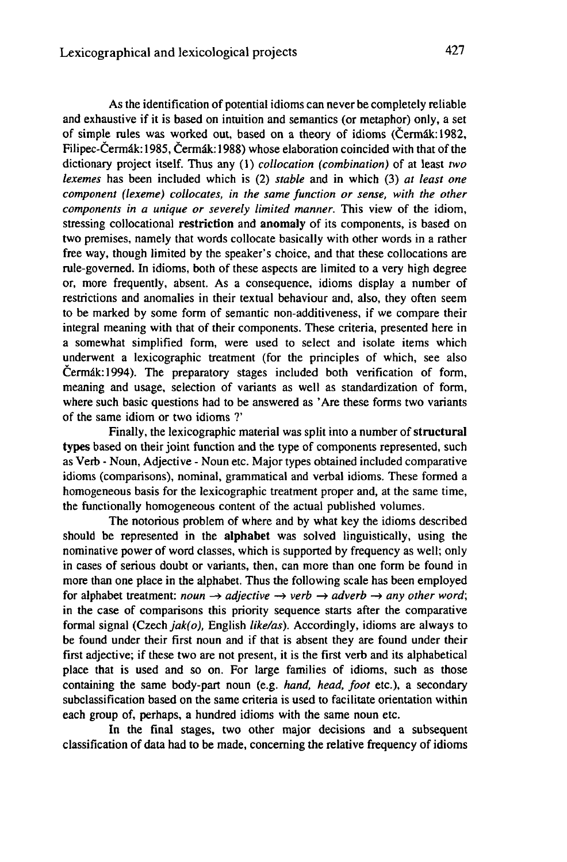As the identification of potential idioms can never be completely reliable and exhaustive if it is based on intuition and semantics (or metaphor) only, a set of simple rules was worked out, based on a theory of idioms (Cermâk:1982, Filipec-Cermâk:1985, Cermâk:1988) whose elaboration coincided with that of the dictionary project itself. Thus any (1) *collocation (combination)* of at least *two lexemes* has been included which is (2) *stable* and in which (3) *at least one component (lexeme) collocates, in the same function or sense, with the other components in a unique or severely limited manner.* This view of the idiom, stressing collocational **restriction** and **anomaly** of its components, is based on two premises, namely that words collocate basically with other words in a rather free way, though limited by the speaker's choice, and that these collocations are rule-governed. In idioms, both of these aspects are limited to a very high degree or, more frequently, absent. As a consequence, idioms display a number of restrictions and anomalies in their textual behaviour and, also, they often seem to be marked by some form of semantic non-additiveness, if we compare their integral meaning with that of their components. These criteria, presented here in a somewhat simplified form, were used to select and isolate items which underwent a lexicographic treatment (for the principles of which, see also Cermâk:1994). The preparatory stages included both verification of form, meaning and usage, selection of variants as well as standardization of form, where such basic questions had to be answered as 'Are these forms two variants of the same idiom or two idioms ?'

Finally, the lexicographic material was split into a number of**structural** types based on their joint function and the type of components represented, such as Verb - Noun, Adjective - Noun etc. Major types obtained included comparative idioms (comparisons), nominal, grammatical and verbal idioms. These formed a homogeneous basis for the lexicographic treatment proper and, at the same time, the functionally homogeneous content of the actual published volumes.

The notorious problem of where and by what key the idioms described should be represented in the **alphabet** was solved linguistically, using the nominative power of word classes, which is supported by frequency as well; only in cases of serious doubt or variants, then, can more than one form be found in more than one place in the alphabet. Thus the following scale has been employed for alphabet treatment: *noun*  $\rightarrow$  *adjective*  $\rightarrow$  *verb*  $\rightarrow$  *adverb*  $\rightarrow$  *any other word*; in the case of comparisons this priority sequence starts after the comparative formal signal (Czech *jak(o),* English *like/as).* Accordingly, idioms are always to be found under their first noun and if that is absent they are found under their first adjective; if these two are not present, it is the first verb and its alphabetical place that is used and so on. For large families of idioms, such as those containing the same body-part noun (e.g. *hand, head, foot* etc.), a secondary subclassification based on the same criteria is used to facilitate orientation within each group of, perhaps, a hundred idioms with the same noun etc.

In the final stages, two other major decisions and a subsequent classification of data had to be made, concerning the relative frequency of idioms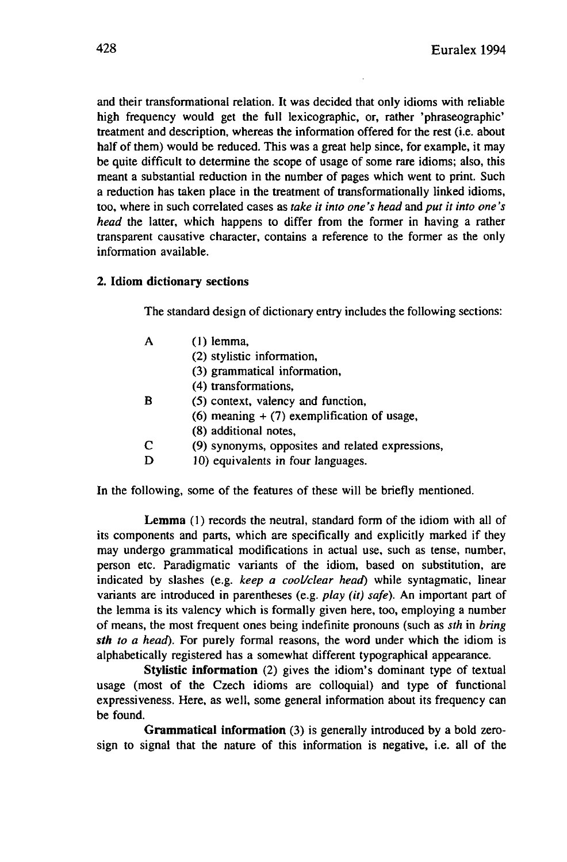and their transformational relation. It was decided that only idioms with reliable high frequency would get the full lexicographic, or, rather 'phraseographic' treatment and description, whereas the information offered for the rest (i.e. about half of them) would be reduced. This was a great help since, for example, it may be quite difficult to determine the scope of usage of some rare idioms; also, this meant a substantial reduction in the number of pages which went to print. Such a reduction has taken place in the treatment of transformationally linked idioms, too, where in such correlated cases as *take it into one's head and put it into one's head* the latter, which happens to differ from the former in having a rather transparent causative character, contains a reference to the former as the only information available.

## **2. Idiom dictionary sections**

The standard design of dictionary entry includes the following sections:

|   | $(1)$ lemma,                                     |
|---|--------------------------------------------------|
|   | (2) stylistic information,                       |
|   | (3) grammatical information,                     |
|   | (4) transformations.                             |
| в | (5) context, valency and function,               |
|   | $(6)$ meaning $+$ (7) exemplification of usage,  |
|   | (8) additional notes,                            |
| C | (9) synonyms, opposites and related expressions, |
|   | 10) equivalents in four languages.               |
|   |                                                  |

In the following, some of the features of these will be briefly mentioned.

**Lemma** (1) records the neutral, standard form of the idiom with all of its components and parts, which are specifically and explicitly marked if they may undergo grammatical modifications in actual use, such as tense, number, person etc. Paradigmatic variants of the idiom, based on substitution, are indicated by slashes (e.g. *keep a cool/clear head)* while syntagmatic, linear variants are introduced in parentheses (e.g. *play (it) safe).* An important part of the lemma is its valency which is formally given here, too, employing a number of means, the most frequent ones being indefinite pronouns (such as *sth* in *bring sth to a head).* For purely formal reasons, the word under which the idiom is alphabetically registered has a somewhat different typographical appearance.

**Stylistic information** (2) gives the idiom's dominant type of textual usage (most of the Czech idioms are colloquial) and type of functional expressiveness. Here, as well, some general information about its frequency can be found.

**Grammatical information** (3) is generally introduced by a bold zerosign to signal that the nature of this information is negative, i.e. all of the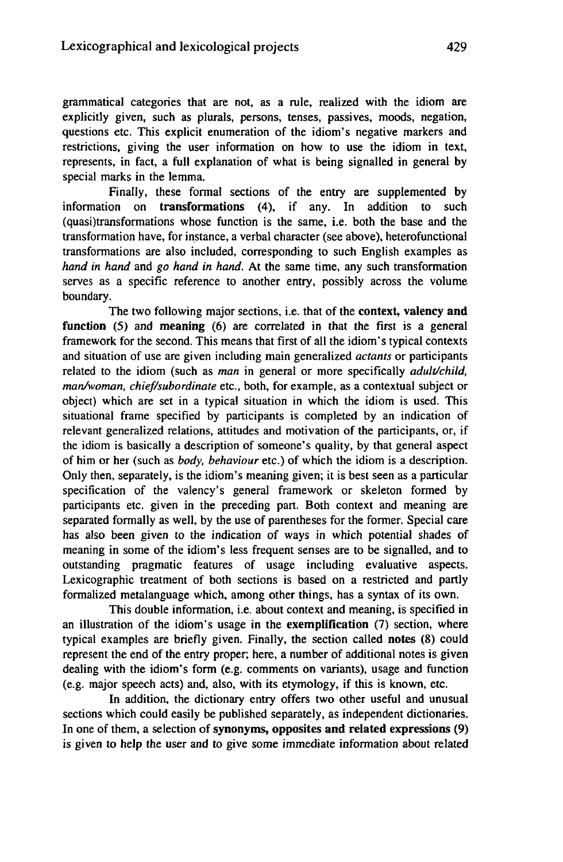grammatical categories that are not, as a rule, realized with the idiom are explicitly given, such as plurals, persons, tenses, passives, moods, negation, questions etc. This explicit enumeration of the idiom's negative markers and restrictions, giving the user information on how to use the idiom in text, represents, in fact, a full explanation of what is being signalled in general by special marks in the lemma.

Finally, these formal sections of the entry are supplemented by information on **transformations** (4), if any. In addition to such (quasi)transformations whose function is the same, i.e. both the base and the transformation have, for instance, a verbal character (see above), heterofunctional transformations are also included, corresponding to such English examples as *hand in hand* and *go hand in hand.* At the same time, any such transformation serves as a specific reference to another entry, possibly across the volume boundary.

The two following major sections, i.e. that of the **context, valency and function (5)** and **meaning** (6) are correlated in that the first is a general framework for the second. This means that first of all the idiom's typical contexts and situation of use are given including main generalized *actants* or participants related to the idiom (such as *man* in general or more specifically *adult/child, man/woman, chief/subordinate* etc., both, for example, as a contextual subject or object) which are set in a typical situation in which the idiom is used. This situational frame specified by participants is completed by an indication of relevant generalized relations, attitudes and motivation of the participants, or, if the idiom is basically a description of someone's quality, by that general aspect of him or her (such as *body, behaviour* etc.) of which the idiom is a description. Only then, separately, is the idiom's meaning given; it is best seen as a particular specification of the valency's general framework or skeleton formed by participants etc. given in the preceding part. Both context and meaning are separated formally as well, by the use of parentheses for the former. Special care has also been given to the indication of ways in which potential shades of meaning in some of the idiom's less frequent senses are to be signalled, and to outstanding pragmatic features of usage including evaluative aspects. Lexicographic treatment of both sections is based on a restricted and partly formalized metalanguage which, among other things, has a syntax of its own.

This double information, i.e. about context and meaning, is specified in an illustration of the idiom's usage in the **exemplification** (7) section, where typical examples are briefly given. Finally, the section called **notes** (8) could represent the end of the entry proper; here, a number of additional notes is given dealing with the idiom's form (e.g. comments on variants), usage and function (e.g. major speech acts) and, also, with its etymology, if this is known, etc.

In addition, the dictionary entry offers two other useful and unusual sections which could easily be published separately, as independent dictionaries. In one of them, a selection of**synonyms, opposites and related expressions** (9) is given to help the user and to give some immediate information about related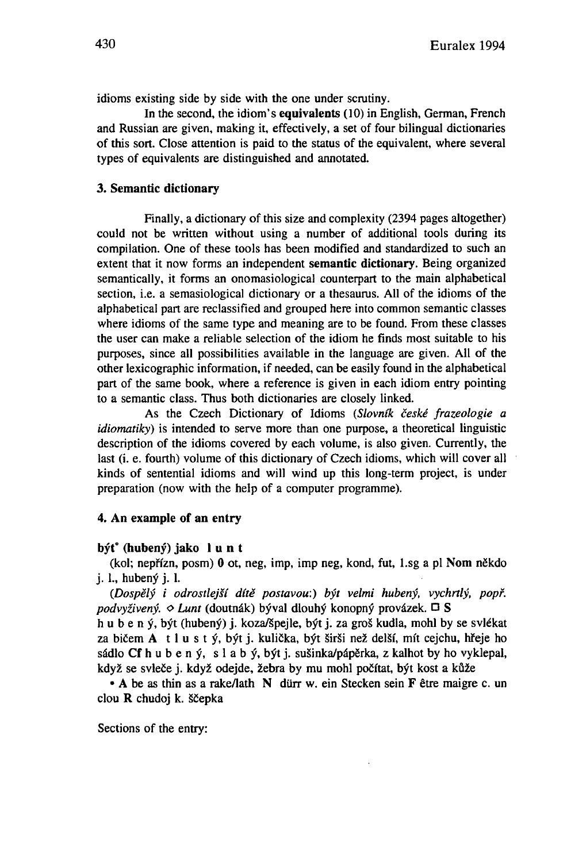idioms existing side by side with the one under scrutiny.

In the second, the idiom's **equivalents** (10) in English, German, French and Russian are given, making it, effectively, a set of four bilingual dictionaries of this sort. Close attention is paid to the status of the equivalent, where several types of equivalents are distinguished and annotated.

## **3. Semantic dictionary**

Finally, a dictionary of this size and complexity (2394 pages altogether) could not be written without using a number of additional tools during its compilation. One of these tools has been modified and standardized to such an extent that it now forms an independent **semantic dictionary.** Being organized semantically, it forms an onomasiological counterpart to the main alphabetical section, i.e. a semasiological dictionary or a thesaurus. All of the idioms of the alphabetical part are reclassified and grouped here into common semantic classes where idioms of the same type and meaning are to be found. From these classes the user can make a reliable selection of the idiom he finds most suitable to his purposes, since all possibilities available in the language are given. All of the other lexicographic information, if needed, can be easily found in the alphabetical part of the same book, where a reference is given in each idiom entry pointing to a semantic class. Thus both dictionaries are closely linked.

As the Czech Dictionary of Idioms *(Slovnlk ceské frazeologie a idiomatiky)* is intended to serve more than one purpose, a theoretical linguistic description of the idioms covered by each volume, is also given. Currently, the last (i. e. fourth) volume of this dictionary of Czech idioms, which will cover all kinds of sentential idioms and will wind up this long-term project, is under preparation (now with the help of a computer programme).

#### **4. An example of an entry**

#### **byt° (hubeny) jako <sup>1</sup> u n t**

(kol; nepffzn, posm) 0 ot, neg, imp, imp neg, kond, fut, l.sg a pi Nom nëkdo j. L, hubeny j. 1.

*{Dospëly i odrostlej•i dite postavou:) byt velmi hubeny, vychrtly, popf. podvyziveny. o hunt* (doutnâk) byval dlouhy konopny provâzek. O S

h u b e n ý, být (hubený) j. koza/špejle, být j. za groš kudla, mohl by se svlékat za bičem A t l u s t ý, být j. kulička, být širši než delší, mít cejchu, hřeje ho sâdlo Cf h u b e n y, s <sup>1</sup> a b y, byt j. susinka/pâpërka, z kalhot by ho vyklepal, když se svleče j. když odejde, žebra by mu mohl počítat, být kost a kůže

• A be as thin as a rake/lath N dürr w. ein Stecken sein F être maigre c. un clou  $\bf{R}$  chudoj k. ščepka

Sections of the entry: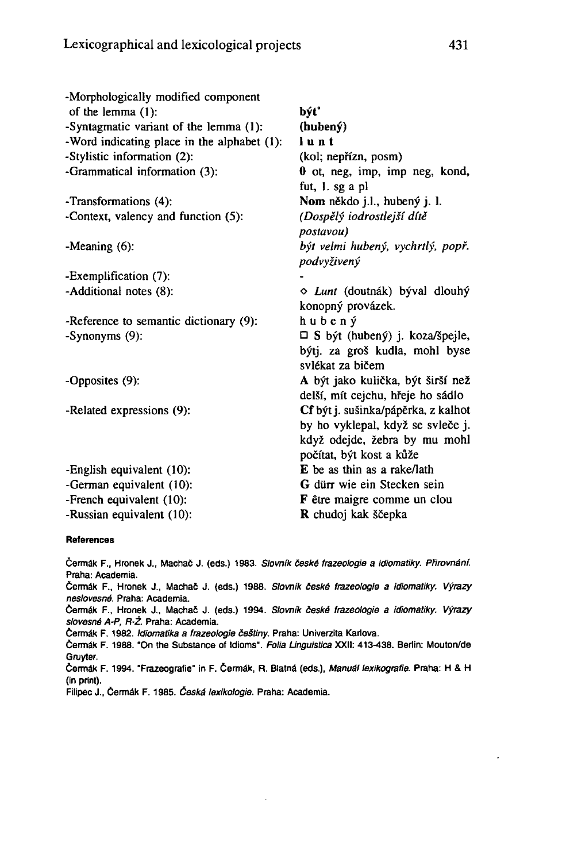| -Morphologically modified component<br>of the lemma $(1)$ : | být°                                          |  |
|-------------------------------------------------------------|-----------------------------------------------|--|
| -Syntagmatic variant of the lemma (1):                      | (hubený)                                      |  |
| -Word indicating place in the alphabet (1):                 | lunt                                          |  |
| -Stylistic information (2):                                 | (kol; nepřízn, posm)                          |  |
| -Grammatical information (3):                               | 0 ot, neg, imp, imp neg, kond,                |  |
|                                                             | fut, 1. sg a pl                               |  |
| -Transformations (4):                                       | Nom někdo j.l., hubený j. l.                  |  |
| -Context, valency and function (5):                         | (Dospělý iodrostlejší dítě                    |  |
|                                                             | postavou)                                     |  |
| -Meaning $(6)$ :                                            | být velmi hubený, vychrtlý, popř.             |  |
|                                                             | podvyživený                                   |  |
| -Exemplification (7):                                       |                                               |  |
| -Additional notes (8):                                      | $\Diamond$ <i>Lunt</i> (doutnák) býval dlouhý |  |
|                                                             | konopný provázek.                             |  |
| -Reference to semantic dictionary (9):                      | hubený                                        |  |
| -Synonyms (9):                                              | $\Box$ S být (hubený) j. koza/špejle,         |  |
|                                                             | býtj. za groš kudla, mohl byse                |  |
|                                                             | svlékat za bičem                              |  |
| -Opposites (9):                                             | A být jako kulička, být širší než             |  |
|                                                             | delší, mít cejchu, hřeje ho sádlo             |  |
| -Related expressions (9):                                   | Cf být j. sušinka/pápěrka, z kalhot           |  |
|                                                             | by ho vyklepal, když se svleče j.             |  |
|                                                             | když odejde, žebra by mu mohl                 |  |
|                                                             | počítat, být kost a kůže                      |  |
| -English equivalent (10):                                   | E be as thin as a rake/lath                   |  |
| -German equivalent (10):                                    | G dürr wie ein Stecken sein                   |  |
| -French equivalent (10):                                    | F être maigre comme un clou                   |  |
| -Russian equivalent (10):                                   | R chudoj kak ščepka                           |  |

#### References

Čermák F., Hronek J., Machač J. (eds.) 1983. Slovník české frazeologie a idiomatiky. Přirovnání. Praha: Academia.

Čermák F., Hronek J., Machač J. (eds.) 1988. Slovník české frazeologie a idiomatiky. Výrazy neslovesné. Praha: Academia.

Čermák F., Hronek J., Machač J. (eds.) 1994. Slovník české frazeologie a idiomatiky. Výrazy slovesné A-P, R-Ž. Praha: Academia.

Čermák F. 1982. Idiomatika a frazeologie češtiny. Praha: Univerzita Karlova.

Cermâk F. 1988. "On the Substance of Idioms". Folia Linguistica XXII: 413-438. Berlin: Mouton/de Gruyter.

Cermâk F. 1994. "Frazeografie" in F. Cermâk, R. Blatnâ (eds.), Manual lexikografie. Praha: H & H (in print).

Filipec J., Čermák F. 1985. Česká lexikologie. Praha: Academia.